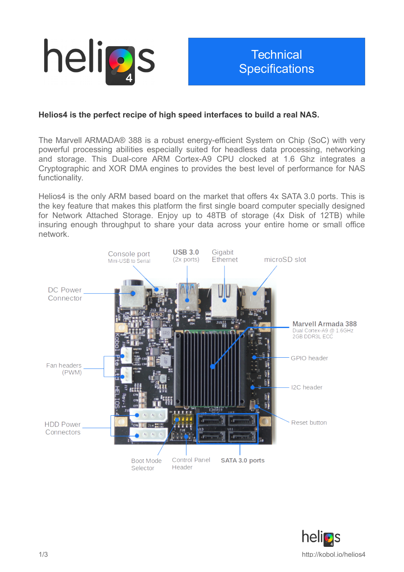

## **Technical Specifications**

## **Helios4 is the perfect recipe of high speed interfaces to build a real NAS.**

The Marvell ARMADA® 388 is a robust energy-efficient System on Chip (SoC) with very powerful processing abilities especially suited for headless data processing, networking and storage. This Dual-core ARM Cortex-A9 CPU clocked at 1.6 Ghz integrates a Cryptographic and XOR DMA engines to provides the best level of performance for NAS functionality.

Helios4 is the only ARM based board on the market that offers 4x SATA 3.0 ports. This is the key feature that makes this platform the first single board computer specially designed for Network Attached Storage. Enjoy up to 48TB of storage (4x Disk of 12TB) while insuring enough throughput to share your data across your entire home or small office network.



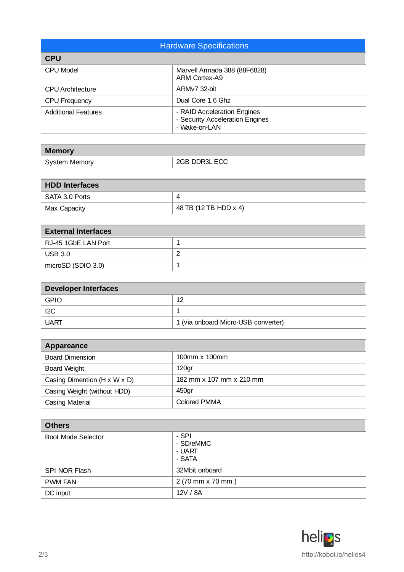| <b>Hardware Specifications</b>             |                                                                                 |
|--------------------------------------------|---------------------------------------------------------------------------------|
| <b>CPU</b>                                 |                                                                                 |
|                                            |                                                                                 |
| CPU Model                                  | Marvell Armada 388 (88F6828)<br><b>ARM Cortex-A9</b>                            |
| <b>CPU</b> Architecture                    | ARMv7 32-bit                                                                    |
| CPU Frequency                              | Dual Core 1.6 Ghz                                                               |
| <b>Additional Features</b>                 | - RAID Acceleration Engines<br>- Security Acceleration Engines<br>- Wake-on-LAN |
| <b>Memory</b>                              |                                                                                 |
| System Memory                              | 2GB DDR3L ECC                                                                   |
|                                            |                                                                                 |
| <b>HDD Interfaces</b>                      |                                                                                 |
| SATA 3.0 Ports                             | $\overline{4}$                                                                  |
| Max Capacity                               | 48 TB (12 TB HDD x 4)                                                           |
|                                            |                                                                                 |
| <b>External Interfaces</b>                 |                                                                                 |
| RJ-45 1GbE LAN Port                        | $\mathbf 1$                                                                     |
| <b>USB 3.0</b>                             | $\overline{2}$                                                                  |
| microSD (SDIO 3.0)                         | $\mathbf 1$                                                                     |
|                                            |                                                                                 |
| <b>Developer Interfaces</b>                |                                                                                 |
| <b>GPIO</b>                                | 12                                                                              |
| 12C                                        | $\mathbf{1}$                                                                    |
| <b>UART</b>                                | 1 (via onboard Micro-USB converter)                                             |
|                                            |                                                                                 |
| Appareance                                 |                                                                                 |
| <b>Board Dimension</b>                     | 100mm x 100mm                                                                   |
| <b>Board Weight</b>                        | 120 <sub>gr</sub>                                                               |
| Casing Dimention ( $H \times W \times D$ ) | 182 mm x 107 mm x 210 mm                                                        |
| Casing Weight (without HDD)                | 450gr                                                                           |
| Casing Material                            | <b>Colored PMMA</b>                                                             |
|                                            |                                                                                 |
| <b>Others</b>                              |                                                                                 |
| <b>Boot Mode Selector</b>                  | - SPI<br>- SD/eMMC<br>- UART<br>- SATA                                          |
| SPI NOR Flash                              | 32Mbit onboard                                                                  |
| <b>PWM FAN</b>                             | 2 (70 mm x 70 mm)                                                               |
| DC input                                   | 12V / 8A                                                                        |